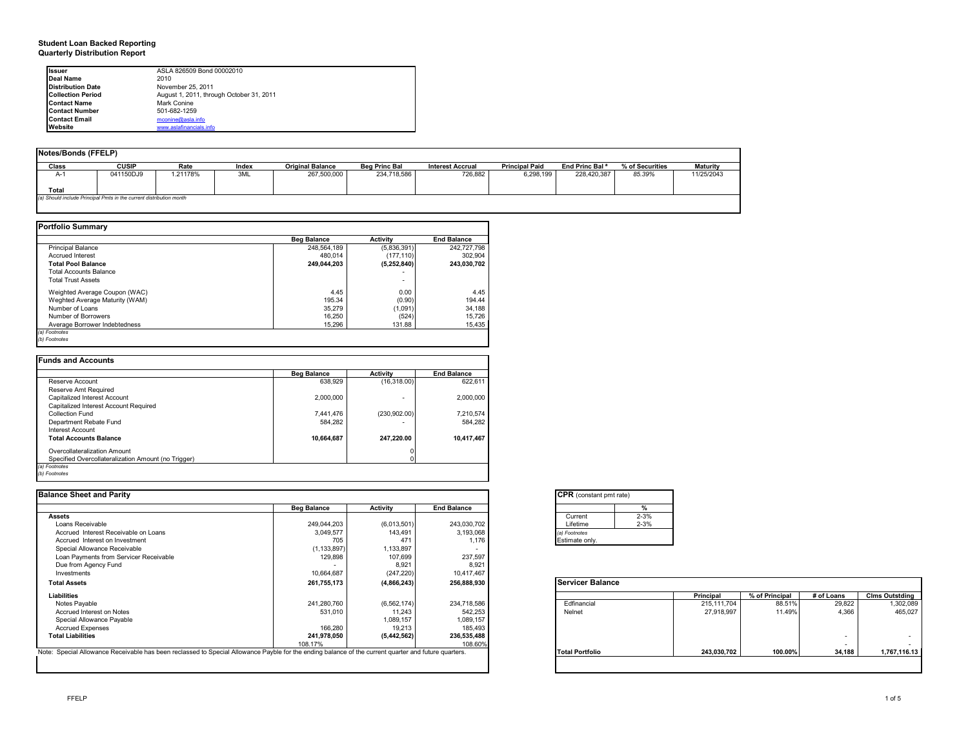#### **Student Loan Backed Reporting Quarterly Distribution Report**

| Issuer                   | ASLA 826509 Bond 00002010                |
|--------------------------|------------------------------------------|
| Deal Name                | 2010                                     |
| <b>Distribution Date</b> | November 25, 2011                        |
| <b>Collection Period</b> | August 1, 2011, through October 31, 2011 |
| <b>Contact Name</b>      | Mark Conine                              |
| <b>Contact Number</b>    | 501-682-1259                             |
| <b>Contact Email</b>     | mconine@asla.info                        |
| Website                  | www.aslafinancials.info                  |

| Notes/Bonds (FFELP)                                                 |              |          |       |                         |                      |                         |                       |                            |                 |                 |
|---------------------------------------------------------------------|--------------|----------|-------|-------------------------|----------------------|-------------------------|-----------------------|----------------------------|-----------------|-----------------|
| <b>Class</b>                                                        | <b>CUSIP</b> | Rate     | Index | <b>Original Balance</b> | <b>Beg Princ Bal</b> | <b>Interest Accrual</b> | <b>Principal Paid</b> | End Princ Bal <sup>a</sup> | % of Securities | <b>Maturity</b> |
| $A-1$                                                               | 041150DJ9    | 1.21178% | 3ML   | 267,500,000             | 234,718,586          | 726.882                 | 6.298.199             | 228.420.387                | 85.39%          | 11/25/2043      |
| Total                                                               |              |          |       |                         |                      |                         |                       |                            |                 |                 |
| (a) Should include Principal Pmts in the current distribution month |              |          |       |                         |                      |                         |                       |                            |                 |                 |
|                                                                     |              |          |       |                         |                      |                         |                       |                            |                 |                 |

|                                | <b>Beg Balance</b> | Activity                 | <b>End Balance</b> |
|--------------------------------|--------------------|--------------------------|--------------------|
| <b>Principal Balance</b>       | 248.564.189        | (5,836,391)              | 242.727.798        |
| <b>Accrued Interest</b>        | 480.014            | (177.110)                | 302.904            |
| <b>Total Pool Balance</b>      | 249.044.203        | (5, 252, 840)            | 243.030.702        |
| <b>Total Accounts Balance</b>  |                    |                          |                    |
| <b>Total Trust Assets</b>      |                    | $\overline{\phantom{0}}$ |                    |
| Weighted Average Coupon (WAC)  | 4.45               | 0.00                     | 4.45               |
| Weghted Average Maturity (WAM) | 195.34             | (0.90)                   | 194.44             |
| Number of Loans                | 35,279             | (1,091)                  | 34,188             |
| Number of Borrowers            | 16,250             | (524)                    | 15,726             |
| Average Borrower Indebtedness  | 15.296             | 131.88                   | 15,435             |

|                                                     | <b>Beg Balance</b> | <b>Activity</b> | <b>End Balance</b> |
|-----------------------------------------------------|--------------------|-----------------|--------------------|
| Reserve Account                                     | 638.929            | (16.318.00)     | 622.611            |
| Reserve Amt Required                                |                    |                 |                    |
| Capitalized Interest Account                        | 2,000,000          | ۰               | 2,000,000          |
| Capitalized Interest Account Required               |                    |                 |                    |
| Collection Fund                                     | 7.441.476          | (230.902.00)    | 7,210,574          |
| Department Rebate Fund                              | 584.282            |                 | 584,282            |
| Interest Account                                    |                    |                 |                    |
| <b>Total Accounts Balance</b>                       | 10,664,687         | 247,220.00      | 10,417,467         |
| Overcollateralization Amount                        |                    |                 |                    |
| Specified Overcollateralization Amount (no Trigger) |                    |                 |                    |

| <b>Balance Sheet and Parity</b>                                                                                                                      |                    |                 |                    | <b>CPR</b> (constant pmt rate) |             |                |            |                       |
|------------------------------------------------------------------------------------------------------------------------------------------------------|--------------------|-----------------|--------------------|--------------------------------|-------------|----------------|------------|-----------------------|
|                                                                                                                                                      | <b>Beg Balance</b> | <b>Activity</b> | <b>End Balance</b> |                                |             |                |            |                       |
| <b>Assets</b>                                                                                                                                        |                    |                 |                    | $2 - 3%$<br>Current            |             |                |            |                       |
| Loans Receivable                                                                                                                                     | 249.044.203        | (6,013,501)     | 243,030,702        | $2 - 3%$<br>Lifetime           |             |                |            |                       |
| Accrued Interest Receivable on Loans                                                                                                                 | 3,049,577          | 143,491         | 3,193,068          | (a) Footnotes                  |             |                |            |                       |
| Accrued Interest on Investment                                                                                                                       | 705                | 471             | 1,176              | Estimate only.                 |             |                |            |                       |
| Special Allowance Receivable                                                                                                                         | (1, 133, 897)      | 1,133,897       |                    |                                |             |                |            |                       |
| Loan Payments from Servicer Receivable                                                                                                               | 129,898            | 107,699         | 237,597            |                                |             |                |            |                       |
| Due from Agency Fund                                                                                                                                 |                    | 8,921           | 8,921              |                                |             |                |            |                       |
| Investments                                                                                                                                          | 10,664,687         | (247, 220)      | 10,417,467         |                                |             |                |            |                       |
| <b>Total Assets</b>                                                                                                                                  | 261,755,173        | (4,866,243)     | 256,888,930        | <b>Servicer Balance</b>        |             |                |            |                       |
| Liabilities                                                                                                                                          |                    |                 |                    |                                | Principal   | % of Principal | # of Loans | <b>Cims Outstding</b> |
| Notes Payable                                                                                                                                        | 241,280,760        | (6, 562, 174)   | 234,718,586        | Edfinancial                    | 215.111.704 | 88.51%         | 29,822     | 1,302,089             |
| Accrued Interest on Notes                                                                                                                            | 531,010            | 11,243          | 542,253            | Nelnet                         | 27,918,997  | 11.49%         | 4.366      | 465,027               |
| Special Allowance Payable                                                                                                                            |                    | 1,089,157       | 1,089,157          |                                |             |                |            |                       |
| <b>Accrued Expenses</b>                                                                                                                              | 166,280            | 19,213          | 185,493            |                                |             |                |            |                       |
| <b>Total Liabilities</b>                                                                                                                             | 241.978.050        | (5,442,562)     | 236,535,488        |                                |             |                |            |                       |
|                                                                                                                                                      | 108.17%            |                 | 108.60%            |                                |             |                |            | $\sim$                |
| Note: Special Allowance Receivable has been reclassed to Special Allowance Payble for the ending balance of the current quarter and future quarters. |                    |                 |                    | <b>Total Portfolio</b>         | 243,030,702 | 100.00%        | 34,188     | 1,767,116.13          |

| <b>CPR</b> (constant pmt rate) |          |
|--------------------------------|----------|
|                                |          |
| Current                        | $2 - 3%$ |
| Lifetime                       | $2 - 3%$ |
| (a) Footnotes                  |          |
| Estimate only.                 |          |

| 10,007,001  | (271, 220)                                                   | 10, 711, 701 |                         |             |                |                          |                |
|-------------|--------------------------------------------------------------|--------------|-------------------------|-------------|----------------|--------------------------|----------------|
| 261,755,173 | (4,866,243)                                                  | 256,888,930  | <b>Servicer Balance</b> |             |                |                          |                |
|             |                                                              |              |                         | Principal   | % of Principal | # of Loans               | Cims Outstding |
| 241,280,760 | (6, 562, 174)                                                | 234,718,586  | Edfinancial             | 215.111.704 | 88.51%         | 29,822                   | 1,302,089      |
| 531.010     | 11.243                                                       | 542.253      | Nelnet                  | 27.918.997  | 11.49%         | 4.366                    | 465,027        |
|             | 1,089,157                                                    | 1,089,157    |                         |             |                |                          |                |
| 166,280     | 19.213                                                       | 185.493      |                         |             |                |                          |                |
| 241.978.050 | (5, 442, 562)                                                | 236.535.488  |                         |             |                |                          |                |
| 108.17%     |                                                              | 108.60%      |                         |             |                | $\overline{\phantom{0}}$ |                |
|             | e ending balance of the current quarter and future quarters. |              | <b>Total Portfolio</b>  | 243.030.702 | 100.00%        | 34.188                   | 1,767,116.13   |
|             |                                                              |              |                         |             |                |                          |                |
|             |                                                              |              |                         |             |                |                          |                |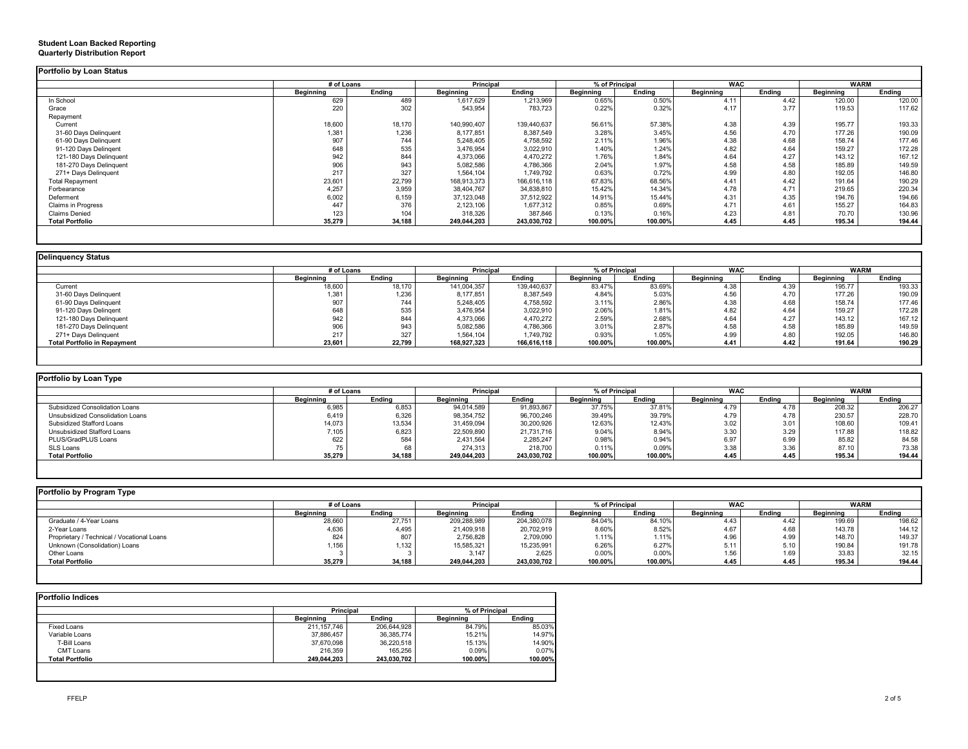|                         |           | # of Loans |                  | Principal   | % of Principal |         | <b>WAC</b> |        | <b>WARM</b> |        |
|-------------------------|-----------|------------|------------------|-------------|----------------|---------|------------|--------|-------------|--------|
|                         | Beainnina | Ending     | <b>Beginning</b> | Ending      | Beainnina      | Ending  | Beginning  | Endina | Beainnina   | Endina |
| In School               | 629       | 489        | 1,617,629        | 1,213,969   | 0.65%          | 0.50%   | 4.11       | 4.42   | 120.00      | 120.00 |
| Grace                   | 220       | 302        | 543,954          | 783.723     | 0.22%          | 0.32%   | 4.17       | 3.77   | 119.53      | 117.62 |
| Repayment               |           |            |                  |             |                |         |            |        |             |        |
| Current                 | 18,600    | 18,170     | 140,990,407      | 139,440,637 | 56.61%         | 57.38%  | 4.38       | 4.39   | 195.77      | 193.33 |
| 31-60 Days Delinquent   | 1,381     | 1,236      | 8,177,851        | 8,387,549   | 3.28%          | 3.45%   | 4.56       | 4.70   | 177.26      | 190.09 |
| 61-90 Days Delinquent   | 907       | 744        | 5,248,405        | 4,758,592   | 2.11%          | 1.96%   | 4.38       | 4.68   | 158.74      | 177.46 |
| 91-120 Days Delingent   | 648       | 535        | 3,476,954        | 3,022,910   | 1.40%          | 1.24%   | 4.82       | 4.64   | 159.27      | 172.28 |
| 121-180 Days Delinguent | 942       | 844        | 4,373,066        | 4,470,272   | 1.76%          | 1.84%   | 4.64       | 4.27   | 143.12      | 167.12 |
| 181-270 Days Delinquent | 906       | 943        | 5,082,586        | 4,786,366   | 2.04%          | 1.97%   | 4.58       | 4.58   | 185.89      | 149.59 |
| 271+ Days Delinguent    | 217       | 327        | 1,564,104        | 1,749,792   | 0.63%          | 0.72%   | 4.99       | 4.80   | 192.05      | 146.80 |
| <b>Total Repayment</b>  | 23,601    | 22,799     | 168,913,373      | 166,616,118 | 67.83%         | 68.56%  | 4.41       | 4.42   | 191.64      | 190.29 |
| Forbearance             | 4,257     | 3,959      | 38,404,767       | 34,838,810  | 15.42%         | 14.34%  | 4.78       | 4.71   | 219.65      | 220.34 |
| Deferment               | 6,002     | 6,159      | 37,123,048       | 37,512,922  | 14.91%         | 15.44%  | 4.31       | 4.35   | 194.76      | 194.66 |
| Claims in Progress      | 447       | 376        | 2,123,106        | 1,677,312   | 0.85%          | 0.69%   | 4.71       | 4.61   | 155.27      | 164.83 |
| <b>Claims Denied</b>    | 123       | 104        | 318,326          | 387,846     | 0.13%          | 0.16%   | 4.23       | 4.81   | 70.70       | 130.96 |
| <b>Total Portfolio</b>  | 35,279    | 34,188     | 249,044,203      | 243,030,702 | 100.00%        | 100.00% | 4.45       | 4.45   | 195.34      | 194.44 |

|                                     |           | # of Loans |                  | <b>Principal</b> |                  | % of Principal |           | <b>WAC</b> |           | <b>WARM</b> |  |
|-------------------------------------|-----------|------------|------------------|------------------|------------------|----------------|-----------|------------|-----------|-------------|--|
|                                     | Beainnina | Ending     | <b>Beginning</b> | Ending           | <b>Beainning</b> | Endina         | Beginning | Endina     | Beainnina | Endina      |  |
| Current                             | 18,600    | 18,170     | 141,004,357      | 139,440,637      | 83.47%           | 83.69%         | 4.38      | 4.39       | 195.77    | 193.33      |  |
| 31-60 Days Delinquent               | 1,381     | 1,236      | 8,177,851        | 8,387,549        | 4.84%            | 5.03%          | 4.56      | 4.70       | 177.26    | 190.09      |  |
| 61-90 Days Delinquent               | 907       | 744        | 5,248,405        | 4,758,592        | 3.11%            | 2.86%          | 4.38      | 4.68       | 158.74    | 177.46      |  |
| 91-120 Days Delingent               | 648       | 535        | 3,476,954        | 3,022,910        | 2.06%            | 1.81%          | 4.82      | 4.64       | 159.27    | 172.28      |  |
| 121-180 Days Delinquent             | 942       | 844        | 4,373,066        | 4,470,272        | 2.59%            | 2.68%          | 4.64      | 4.27       | 143.12    | 167.12      |  |
| 181-270 Days Delinquent             | 906       | 943        | 5,082,586        | 4,786,366        | 3.01%            | 2.87%          | 4.58      | 4.58       | 185.89    | 149.59      |  |
| 271+ Days Delinguent                | 217       | 327        | 1,564,104        | 1,749,792        | 0.93%            | 1.05%          | 4.99      | 4.80       | 192.05    | 146.80      |  |
| <b>Total Portfolio in Repayment</b> | 23,601    | 22,799     | 168,927,323      | 166,616,118      | 100.00%          | 100.00%        | 4.41      | 4.42       | 191.64    | 190.29      |  |

| Portfolio by Loan Type           |                  |        |                  |             |                |         |                  |                  |             |        |
|----------------------------------|------------------|--------|------------------|-------------|----------------|---------|------------------|------------------|-------------|--------|
|                                  | # of Loans       |        | <b>Principal</b> |             | % of Principal |         | <b>WAC</b>       |                  | <b>WARM</b> |        |
|                                  | <b>Beainning</b> | Endina | <b>Beainning</b> | Endina      | Beainnina      | Endina  | <b>Beainning</b> | Endina           | Beainning   | Endina |
| Subsidized Consolidation Loans   | 6,985            | 6.853  | 94.014.589       | 91,893,867  | 37.75%         | 37.81%  | 4.79             | 4.78             | 208.32      | 206.27 |
| Unsubsidized Consolidation Loans | 6,419            | 6.326  | 98.354.752       | 96,700,246  | 39.49%         | 39.79%  | 4.79             | 4.78             | 230.57      | 228.70 |
| Subsidized Stafford Loans        | 14,073           | 13,534 | 31,459,094       | 30,200,926  | 12.63%         | 12.43%  | 3.02             | 3.0 <sup>2</sup> | 108.60      | 109.41 |
| Unsubsidized Stafford Loans      | 7,105            | 6,823  | 22,509,890       | 21,731,716  | 9.04%          | 8.94%   | 3.30             | 3.29             | 117.88      | 118.82 |
| PLUS/GradPLUS Loans              | 622              | 584    | 2.431.564        | 2,285,247   | 0.98%          | 0.94%   | 6.97             | 6.99             | 85.82       | 84.58  |
| SLS Loans                        |                  | 68     | 274.313          | 218,700     | 0.11%          | 0.09%   | 3.38             | 3.36             | 87.10       | 73.38  |
| <b>Total Portfolio</b>           | 35,279           | 34.188 | 249,044,203      | 243,030,702 | 100.00%        | 100.00% | 4.45             | 4.45             | 195.34      | 194.44 |

| Portfolio by Program Type                  |                  |            |             |                  |           |                |           |            |           |             |  |
|--------------------------------------------|------------------|------------|-------------|------------------|-----------|----------------|-----------|------------|-----------|-------------|--|
|                                            |                  | # of Loans |             | <b>Principal</b> |           | % of Principal |           | <b>WAC</b> |           | <b>WARM</b> |  |
|                                            | <b>Beginning</b> | Endina     | Beginning   | Endina           | Beginning | Endina         | Beginning | Ending     | Beginning | Ending      |  |
| Graduate / 4-Year Loans                    | 28,660           | 27.751     | 209,288,989 | 204,380,078      | 84.04%    | 84.10%         | 4.43      | 4.42       | 199.69    | 198.62      |  |
| 2-Year Loans                               | 4,636            | 4,495      | 21,409,918  | 20,702,919       | 8.60%     | 8.52%          | 4.67      | 4.68       | 143.78    | 144.12      |  |
| Proprietary / Technical / Vocational Loans | 824              | 807        | 2,756,828   | 2,709,090        | 1.11%     | 1.11%          | 4.96      | 4.99       | 148.70    | 149.37      |  |
| Unknown (Consolidation) Loans              | 1,156            | 1,132      | 15,585,321  | 15,235,991       | 6.26%     | 6.27%          | 5.11      | 5.1C       | 190.84    | 191.78      |  |
| Other Loans                                |                  |            | 3.147       | 2.625            | 0.00%     | 0.00%          | 1.56      | 1.69       | 33.83     | 32.15       |  |
| <b>Total Portfolio</b>                     | 35.279           | 34.188     | 249,044,203 | 243,030,702      | 100.00%   | 100.00%        | 4.45      | 4.45       | 195.34    | 194.44      |  |
|                                            |                  |            |             |                  |           |                |           |            |           |             |  |

|                        | Principal        |             | % of Principal |         |
|------------------------|------------------|-------------|----------------|---------|
|                        | <b>Beginning</b> | Endina      | Beainnina      | Endina  |
| <b>Fixed Loans</b>     | 211, 157, 746    | 206.644.928 | 84.79%         | 85.03%  |
| Variable Loans         | 37,886,457       | 36,385,774  | 15.21%         | 14.97%  |
| T-Bill Loans           | 37,670,098       | 36,220,518  | 15.13%         | 14.90%  |
| <b>CMT Loans</b>       | 216.359          | 165.256     | 0.09%          | 0.07%   |
| <b>Total Portfolio</b> | 249.044.203      | 243,030,702 | 100.00%        | 100.00% |

**Student Loan Backed Reporting Quarterly Distribution Report**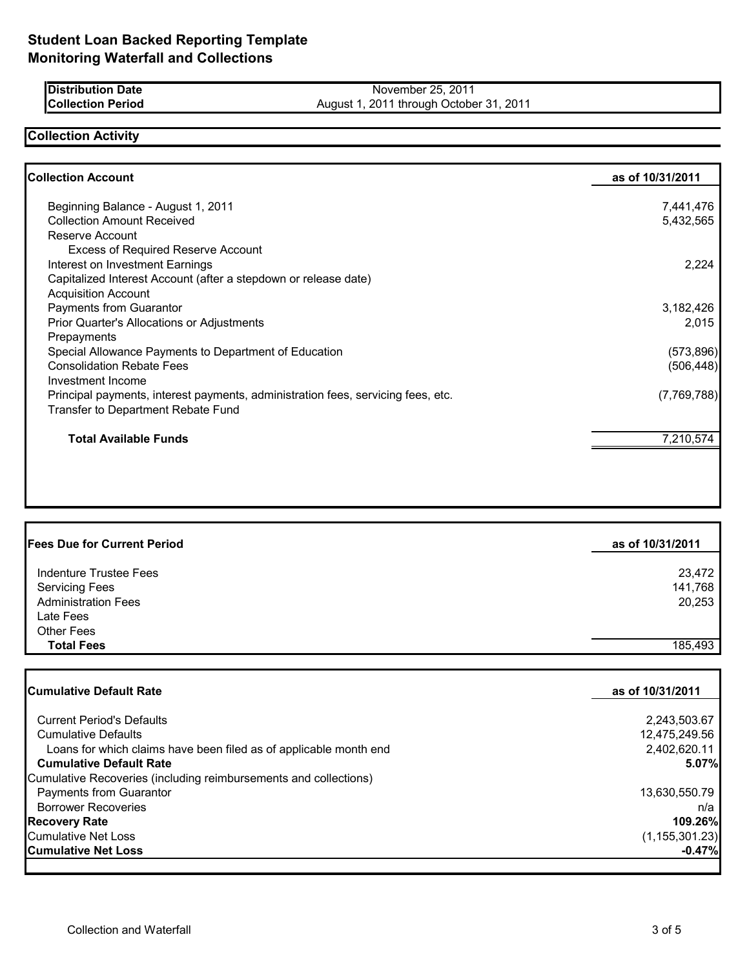| <b>IDistribution Date</b> | November 25, 2011                       |
|---------------------------|-----------------------------------------|
| <b>Collection Period</b>  | August 1, 2011 through October 31, 2011 |

## **Collection Activity**

| <b>Collection Account</b>                                                        | as of 10/31/2011 |
|----------------------------------------------------------------------------------|------------------|
| Beginning Balance - August 1, 2011                                               | 7,441,476        |
| <b>Collection Amount Received</b>                                                | 5,432,565        |
| Reserve Account                                                                  |                  |
| <b>Excess of Required Reserve Account</b>                                        |                  |
| Interest on Investment Earnings                                                  | 2,224            |
| Capitalized Interest Account (after a stepdown or release date)                  |                  |
| <b>Acquisition Account</b>                                                       |                  |
| Payments from Guarantor                                                          | 3,182,426        |
| Prior Quarter's Allocations or Adjustments                                       | 2,015            |
| Prepayments                                                                      |                  |
| Special Allowance Payments to Department of Education                            | (573, 896)       |
| <b>Consolidation Rebate Fees</b>                                                 | (506, 448)       |
| Investment Income                                                                |                  |
| Principal payments, interest payments, administration fees, servicing fees, etc. | (7,769,788)      |
| Transfer to Department Rebate Fund                                               |                  |
| <b>Total Available Funds</b>                                                     | 7,210,574        |

| as of 10/31/2011 |
|------------------|
| 23,472           |
| 141,768          |
| 20,253           |
|                  |
|                  |
| 185,493          |
|                  |

| <b>Cumulative Default Rate</b>                                    | as of 10/31/2011 |
|-------------------------------------------------------------------|------------------|
| <b>Current Period's Defaults</b>                                  | 2,243,503.67     |
| <b>Cumulative Defaults</b>                                        | 12,475,249.56    |
| Loans for which claims have been filed as of applicable month end | 2,402,620.11     |
| <b>Cumulative Default Rate</b>                                    | 5.07%            |
| Cumulative Recoveries (including reimbursements and collections)  |                  |
| Payments from Guarantor                                           | 13,630,550.79    |
| <b>Borrower Recoveries</b>                                        | n/a              |
| <b>Recovery Rate</b>                                              | 109.26%          |
| Cumulative Net Loss                                               | (1, 155, 301.23) |
| <b>Cumulative Net Loss</b>                                        | $-0.47\%$        |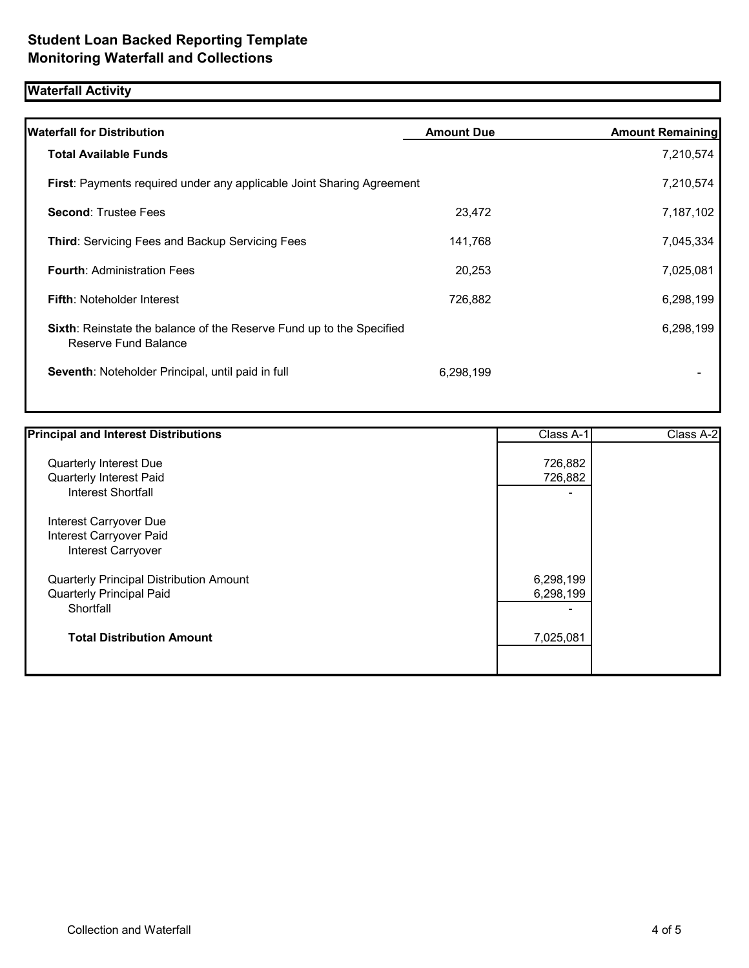# **Waterfall Activity**

| <b>Waterfall for Distribution</b>                                                            | <b>Amount Due</b> | <b>Amount Remaining</b> |
|----------------------------------------------------------------------------------------------|-------------------|-------------------------|
| <b>Total Available Funds</b>                                                                 |                   | 7,210,574               |
| First: Payments required under any applicable Joint Sharing Agreement                        |                   | 7,210,574               |
| <b>Second: Trustee Fees</b>                                                                  | 23,472            | 7,187,102               |
| <b>Third: Servicing Fees and Backup Servicing Fees</b>                                       | 141,768           | 7,045,334               |
| <b>Fourth: Administration Fees</b>                                                           | 20,253            | 7,025,081               |
| <b>Fifth: Noteholder Interest</b>                                                            | 726,882           | 6,298,199               |
| Sixth: Reinstate the balance of the Reserve Fund up to the Specified<br>Reserve Fund Balance |                   | 6,298,199               |
| Seventh: Noteholder Principal, until paid in full                                            | 6,298,199         |                         |
|                                                                                              |                   |                         |

| <b>Principal and Interest Distributions</b>                                      | Class A-1                                          | Class A-2 |
|----------------------------------------------------------------------------------|----------------------------------------------------|-----------|
| Quarterly Interest Due<br>Quarterly Interest Paid<br><b>Interest Shortfall</b>   | 726,882<br>726,882<br>$\overline{\phantom{0}}$     |           |
| Interest Carryover Due<br>Interest Carryover Paid<br>Interest Carryover          |                                                    |           |
| Quarterly Principal Distribution Amount<br>Quarterly Principal Paid<br>Shortfall | 6,298,199<br>6,298,199<br>$\overline{\phantom{0}}$ |           |
| <b>Total Distribution Amount</b>                                                 | 7,025,081                                          |           |